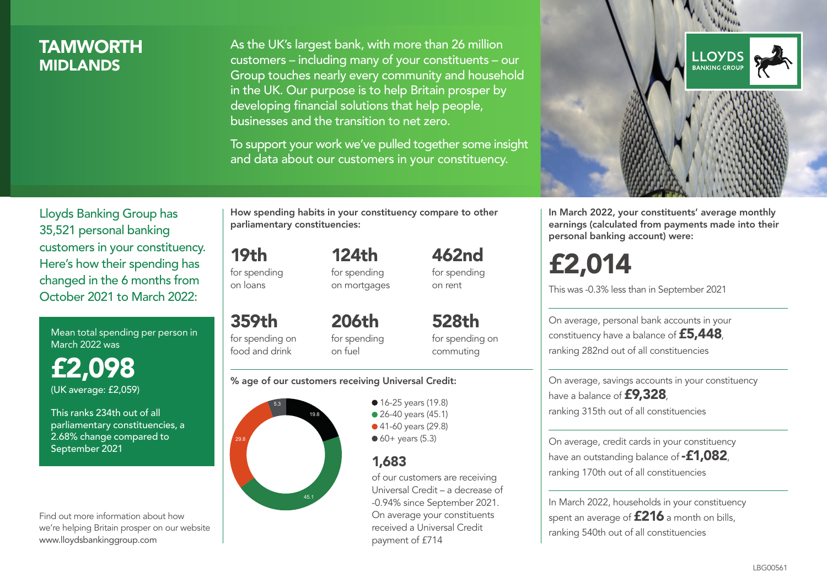# **TAMWORTH MIDI ANDS**

As the UK's largest bank, with more than 26 million customers – including many of your constituents – our Group touches nearly every community and household in the UK. Our purpose is to help Britain prosper by developing financial solutions that help people, businesses and the transition to net zero.

To support your work we've pulled together some insight and data about our customers in your constituency.



Mean total spending per person in March 2022 was

£2,098 (UK average: £2,059)

This ranks 234th out of all parliamentary constituencies, a 2.68% change compared to September 2021

Find out more information about how we're helping Britain prosper on our website www.lloydsbankinggroup.com

How spending habits in your constituency compare to other parliamentary constituencies:

124th

19th for spending on loans

359th for spending on food and drink

for spending on mortgages 462nd for spending on rent

206th for spending on fuel

528th for spending on commuting

#### % age of our customers receiving Universal Credit:



**16-25 years (19.8)** ● 26-40 years (45.1) ● 41-60 years (29.8)  $60+$  years (5.3)

# 1,683

of our customers are receiving Universal Credit – a decrease of -0.94% since September 2021. On average your constituents received a Universal Credit payment of £714



In March 2022, your constituents' average monthly earnings (calculated from payments made into their personal banking account) were:

# £2,014

This was -0.3% less than in September 2021

On average, personal bank accounts in your constituency have a balance of £5,448, ranking 282nd out of all constituencies

On average, savings accounts in your constituency have a balance of **£9,328**, ranking 315th out of all constituencies

On average, credit cards in your constituency have an outstanding balance of  $-$ £1,082 ranking 170th out of all constituencies

In March 2022, households in your constituency spent an average of £216 a month on bills, ranking 540th out of all constituencies